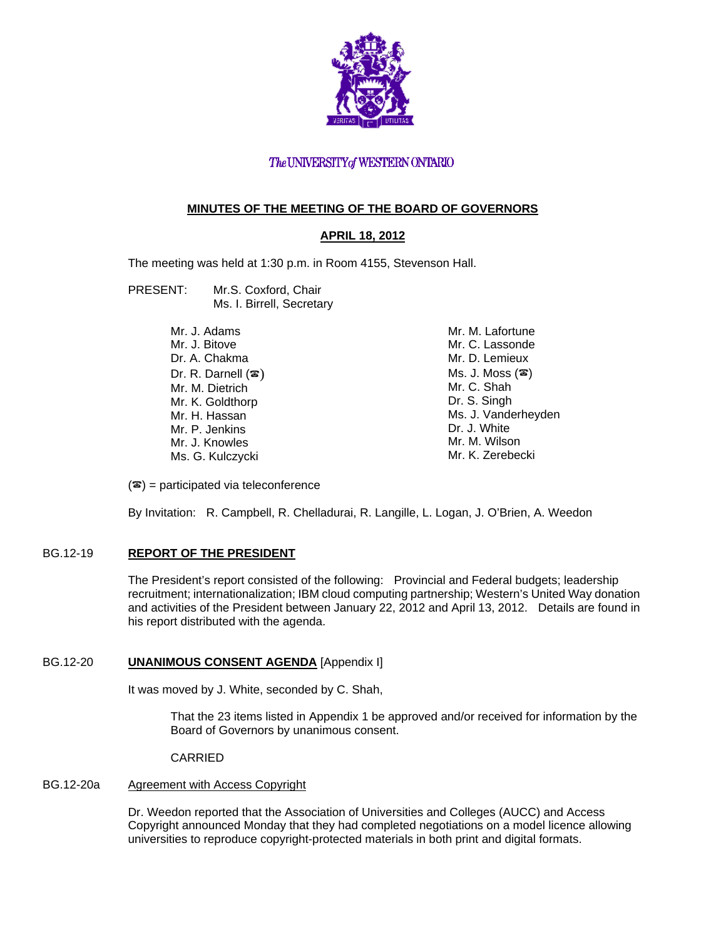

## The UNIVERSITY of WESTERN ONTARIO

## **MINUTES OF THE MEETING OF THE BOARD OF GOVERNORS**

## **APRIL 18, 2012**

The meeting was held at 1:30 p.m. in Room 4155, Stevenson Hall.

- PRESENT: Mr.S. Coxford, Chair Ms. I. Birrell, Secretary
	- Mr. J. Adams Mr. J. Bitove Dr. A. Chakma Dr. R. Darnell  $(\mathbf{\mathcal{F}})$ Mr. M. Dietrich Mr. K. Goldthorp Mr. H. Hassan Mr. P. Jenkins Mr. J. Knowles Ms. G. Kulczycki Mr. M. Lafortune Mr. C. Lassonde Mr. D. Lemieux  $Ms. J. Moss (2)$ Mr. C. Shah Dr. S. Singh Ms. J. Vanderheyden Dr. J. White Mr. M. Wilson Mr. K. Zerebecki

 $(\mathbf{\mathcal{F}})$  = participated via teleconference

By Invitation: R. Campbell, R. Chelladurai, R. Langille, L. Logan, J. O'Brien, A. Weedon

## BG.12-19 **REPORT OF THE PRESIDENT**

The President's report consisted of the following: Provincial and Federal budgets; leadership recruitment; internationalization; IBM cloud computing partnership; Western's United Way donation and activities of the President between January 22, 2012 and April 13, 2012. Details are found in his report distributed with the agenda.

## BG.12-20 **UNANIMOUS CONSENT AGENDA** [Appendix I]

It was moved by J. White, seconded by C. Shah,

That the 23 items listed in Appendix 1 be approved and/or received for information by the Board of Governors by unanimous consent.

CARRIED

## BG.12-20a Agreement with Access Copyright

Dr. Weedon reported that the Association of Universities and Colleges (AUCC) and Access Copyright announced Monday that they had completed negotiations on a model licence allowing universities to reproduce copyright-protected materials in both print and digital formats.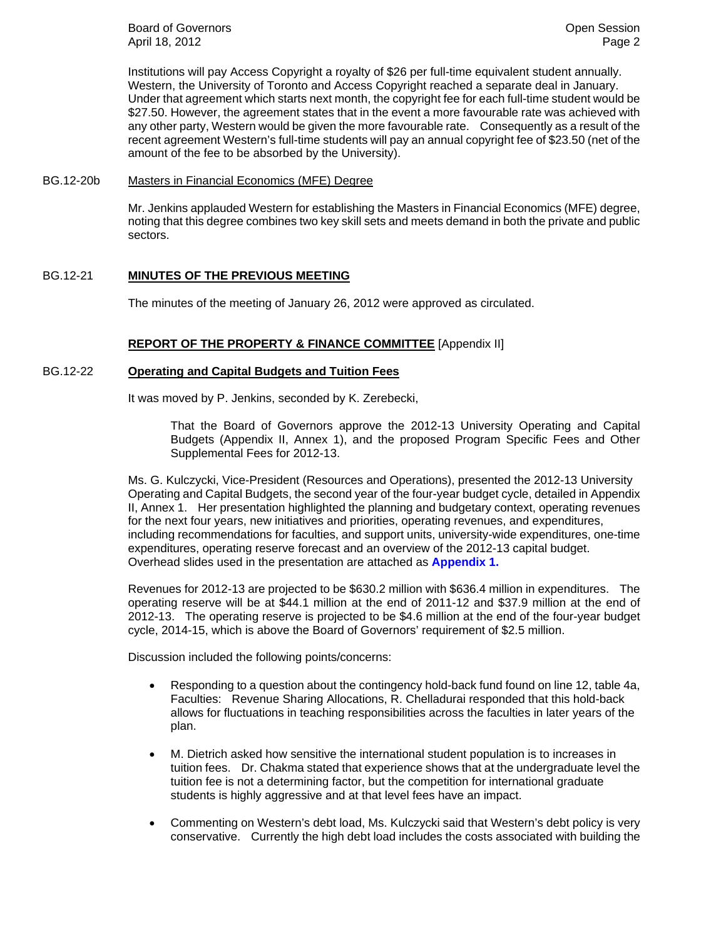**Board of Governors Contract Contract Contract Contract Contract Contract Contract Contract Contract Contract Contract Contract Contract Contract Contract Contract Contract Contract Contract Contract Contract Contract Co** April 18, 2012 **Page 2** 

Institutions will pay Access Copyright a royalty of \$26 per full-time equivalent student annually. Western, the University of Toronto and Access Copyright reached a separate deal in January. Under that agreement which starts next month, the copyright fee for each full-time student would be \$27.50. However, the agreement states that in the event a more favourable rate was achieved with any other party, Western would be given the more favourable rate. Consequently as a result of the recent agreement Western's full-time students will pay an annual copyright fee of \$23.50 (net of the amount of the fee to be absorbed by the University).

#### BG.12-20b Masters in Financial Economics (MFE) Degree

Mr. Jenkins applauded Western for establishing the Masters in Financial Economics (MFE) degree, noting that this degree combines two key skill sets and meets demand in both the private and public sectors.

### BG.12-21 **MINUTES OF THE PREVIOUS MEETING**

The minutes of the meeting of January 26, 2012 were approved as circulated.

### **REPORT OF THE PROPERTY & FINANCE COMMITTEE** [Appendix II]

### BG.12-22 **Operating and Capital Budgets and Tuition Fees**

It was moved by P. Jenkins, seconded by K. Zerebecki,

That the Board of Governors approve the 2012-13 University Operating and Capital Budgets (Appendix II, Annex 1), and the proposed Program Specific Fees and Other Supplemental Fees for 2012-13.

Ms. G. Kulczycki, Vice-President (Resources and Operations), presented the 2012-13 University Operating and Capital Budgets, the second year of the four-year budget cycle, detailed in Appendix II, Annex 1. Her presentation highlighted the planning and budgetary context, operating revenues for the next four years, new initiatives and priorities, operating revenues, and expenditures, including recommendations for faculties, and support units, university-wide expenditures, one-time expenditures, operating reserve forecast and an overview of the 2012-13 capital budget. Overhead slides used in the presentation are attached as **[Appendix 1.](#page-5-0)**

Revenues for 2012-13 are projected to be \$630.2 million with \$636.4 million in expenditures. The operating reserve will be at \$44.1 million at the end of 2011-12 and \$37.9 million at the end of 2012-13. The operating reserve is projected to be \$4.6 million at the end of the four-year budget cycle, 2014-15, which is above the Board of Governors' requirement of \$2.5 million.

Discussion included the following points/concerns:

- Responding to a question about the contingency hold-back fund found on line 12, table 4a, Faculties: Revenue Sharing Allocations, R. Chelladurai responded that this hold-back allows for fluctuations in teaching responsibilities across the faculties in later years of the plan.
- M. Dietrich asked how sensitive the international student population is to increases in tuition fees. Dr. Chakma stated that experience shows that at the undergraduate level the tuition fee is not a determining factor, but the competition for international graduate students is highly aggressive and at that level fees have an impact.
- Commenting on Western's debt load, Ms. Kulczycki said that Western's debt policy is very conservative. Currently the high debt load includes the costs associated with building the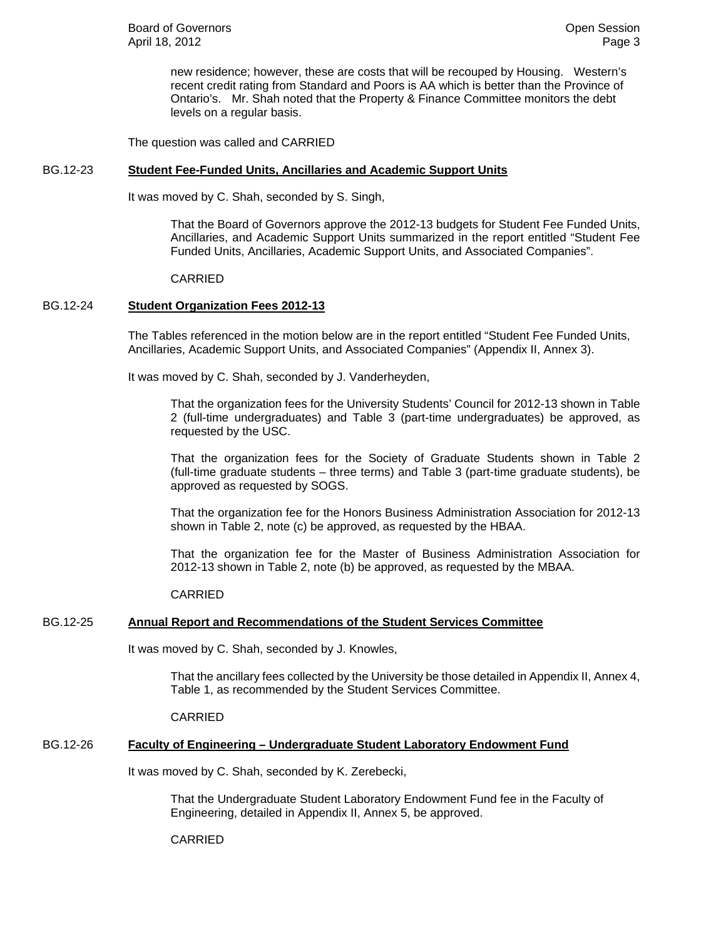new residence; however, these are costs that will be recouped by Housing. Western's recent credit rating from Standard and Poors is AA which is better than the Province of Ontario's. Mr. Shah noted that the Property & Finance Committee monitors the debt levels on a regular basis.

The question was called and CARRIED

### BG.12-23 **Student Fee-Funded Units, Ancillaries and Academic Support Units**

It was moved by C. Shah, seconded by S. Singh,

That the Board of Governors approve the 2012-13 budgets for Student Fee Funded Units, Ancillaries, and Academic Support Units summarized in the report entitled "Student Fee Funded Units, Ancillaries, Academic Support Units, and Associated Companies".

CARRIED

## BG.12-24 **Student Organization Fees 2012-13**

The Tables referenced in the motion below are in the report entitled "Student Fee Funded Units, Ancillaries, Academic Support Units, and Associated Companies" (Appendix II, Annex 3).

It was moved by C. Shah, seconded by J. Vanderheyden,

That the organization fees for the University Students' Council for 2012-13 shown in Table 2 (full-time undergraduates) and Table 3 (part-time undergraduates) be approved, as requested by the USC.

That the organization fees for the Society of Graduate Students shown in Table 2 (full-time graduate students – three terms) and Table 3 (part-time graduate students), be approved as requested by SOGS.

That the organization fee for the Honors Business Administration Association for 2012-13 shown in Table 2, note (c) be approved, as requested by the HBAA.

That the organization fee for the Master of Business Administration Association for 2012-13 shown in Table 2, note (b) be approved, as requested by the MBAA.

CARRIED

## BG.12-25 **Annual Report and Recommendations of the Student Services Committee**

It was moved by C. Shah, seconded by J. Knowles,

That the ancillary fees collected by the University be those detailed in Appendix II, Annex 4, Table 1, as recommended by the Student Services Committee.

CARRIED

## BG.12-26 **Faculty of Engineering – Undergraduate Student Laboratory Endowment Fund**

It was moved by C. Shah, seconded by K. Zerebecki,

That the Undergraduate Student Laboratory Endowment Fund fee in the Faculty of Engineering, detailed in Appendix II, Annex 5, be approved.

CARRIED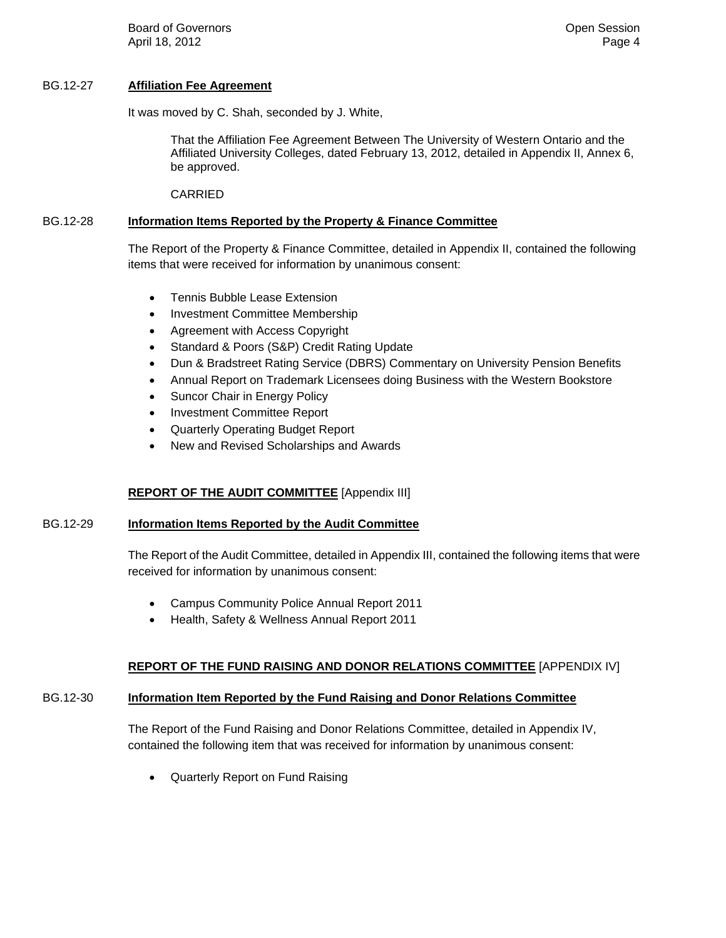**Board of Governors Contract Contract Contract Contract Contract Contract Contract Contract Contract Contract Contract Contract Contract Contract Contract Contract Contract Contract Contract Contract Contract Contract Co** April 18, 2012 **Page 4** 

### BG.12-27 **Affiliation Fee Agreement**

It was moved by C. Shah, seconded by J. White,

That the Affiliation Fee Agreement Between The University of Western Ontario and the Affiliated University Colleges, dated February 13, 2012, detailed in Appendix II, Annex 6, be approved.

CARRIED

### BG.12-28 **Information Items Reported by the Property & Finance Committee**

The Report of the Property & Finance Committee, detailed in Appendix II, contained the following items that were received for information by unanimous consent:

- Tennis Bubble Lease Extension
- Investment Committee Membership
- Agreement with Access Copyright
- Standard & Poors (S&P) Credit Rating Update
- Dun & Bradstreet Rating Service (DBRS) Commentary on University Pension Benefits
- Annual Report on Trademark Licensees doing Business with the Western Bookstore
- Suncor Chair in Energy Policy
- Investment Committee Report
- Quarterly Operating Budget Report
- New and Revised Scholarships and Awards

## **REPORT OF THE AUDIT COMMITTEE** [Appendix III]

### BG.12-29 **Information Items Reported by the Audit Committee**

The Report of the Audit Committee, detailed in Appendix III, contained the following items that were received for information by unanimous consent:

- Campus Community Police Annual Report 2011
- Health, Safety & Wellness Annual Report 2011

### **REPORT OF THE FUND RAISING AND DONOR RELATIONS COMMITTEE** [APPENDIX IV]

## BG.12-30 **Information Item Reported by the Fund Raising and Donor Relations Committee**

The Report of the Fund Raising and Donor Relations Committee, detailed in Appendix IV, contained the following item that was received for information by unanimous consent:

Quarterly Report on Fund Raising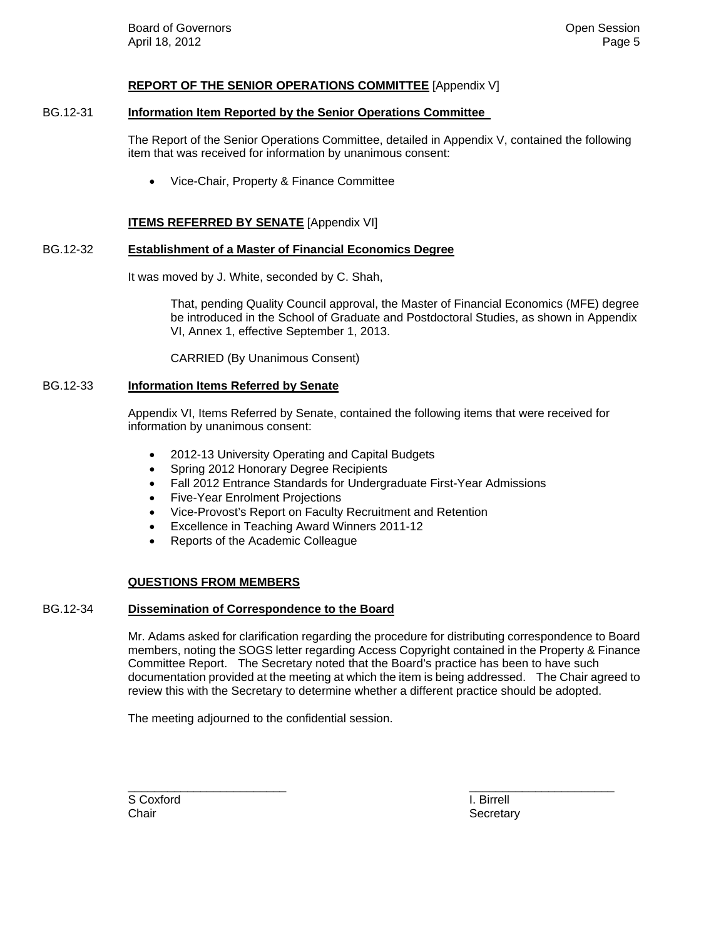#### **REPORT OF THE SENIOR OPERATIONS COMMITTEE** [Appendix V]

#### BG.12-31 **Information Item Reported by the Senior Operations Committee**

The Report of the Senior Operations Committee, detailed in Appendix V, contained the following item that was received for information by unanimous consent:

Vice-Chair, Property & Finance Committee

#### **ITEMS REFERRED BY SENATE** [Appendix VI]

#### BG.12-32 **Establishment of a Master of Financial Economics Degree**

It was moved by J. White, seconded by C. Shah,

That, pending Quality Council approval, the Master of Financial Economics (MFE) degree be introduced in the School of Graduate and Postdoctoral Studies, as shown in Appendix VI, Annex 1, effective September 1, 2013.

CARRIED (By Unanimous Consent)

#### BG.12-33 **Information Items Referred by Senate**

Appendix VI, Items Referred by Senate, contained the following items that were received for information by unanimous consent:

- 2012-13 University Operating and Capital Budgets
- Spring 2012 Honorary Degree Recipients
- Fall 2012 Entrance Standards for Undergraduate First-Year Admissions
- Five-Year Enrolment Projections
- Vice-Provost's Report on Faculty Recruitment and Retention
- Excellence in Teaching Award Winners 2011-12
- Reports of the Academic Colleague

### **QUESTIONS FROM MEMBERS**

#### BG.12-34 **Dissemination of Correspondence to the Board**

Mr. Adams asked for clarification regarding the procedure for distributing correspondence to Board members, noting the SOGS letter regarding Access Copyright contained in the Property & Finance Committee Report. The Secretary noted that the Board's practice has been to have such documentation provided at the meeting at which the item is being addressed. The Chair agreed to review this with the Secretary to determine whether a different practice should be adopted.

\_\_\_\_\_\_\_\_\_\_\_\_\_\_\_\_\_\_\_\_\_\_\_\_ \_\_\_\_\_\_\_\_\_\_\_\_\_\_\_\_\_\_\_\_\_\_

The meeting adjourned to the confidential session.

S Coxford **I. Birrell** 

Chair **Secretary** Secretary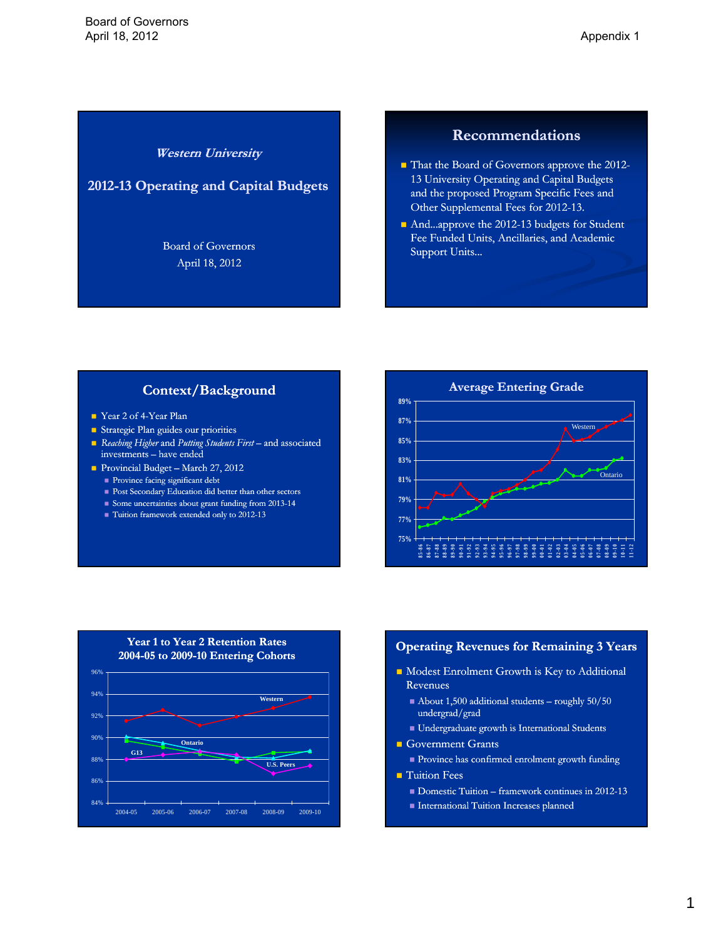## **Western University**

## <span id="page-5-0"></span>**2012-13 Operating and Capital Budgets 13**

Board of Governors April 18, 2012

## **Recommendations**

- That the Board of Governors approve the 2012-13 University Operating and Capital Budgets and the proposed Program Specific Fees and Other Supplemental Fees for 2012-13.
- And...approve the 2012-13 budgets for Student Fee Funded Units, Ancillaries, and Academic Support Units...

## **Context/Background**

- Year 2 of 4-Year Plan
- Strategic Plan guides our priorities
- *Reaching Higher* and *Putting Students First* and associated investments – have ended
- Provincial Budget March 27, 2012
	- Province facing significant debt
	- **Post Secondary Education did better than other sectors**
	- $\blacksquare$  Some uncertainties about grant funding from 2013-14
	- $\blacksquare$  Tuition framework extended only to 2012-13





#### **Operating Revenues for Remaining 3 Years**

- $\blacksquare$  Modest Enrolment Growth is Key to Additional Revenues
	- About 1,500 additional students roughly 50/50 undergrad/grad
	- $\blacksquare$  Undergraduate growth is International Students
- Government Grants
- Province has confirmed enrolment growth funding
- $\blacksquare$  Tuition Fees
	- $\blacksquare$  Domestic Tuition framework continues in 2012-13
	- International Tuition Increases planned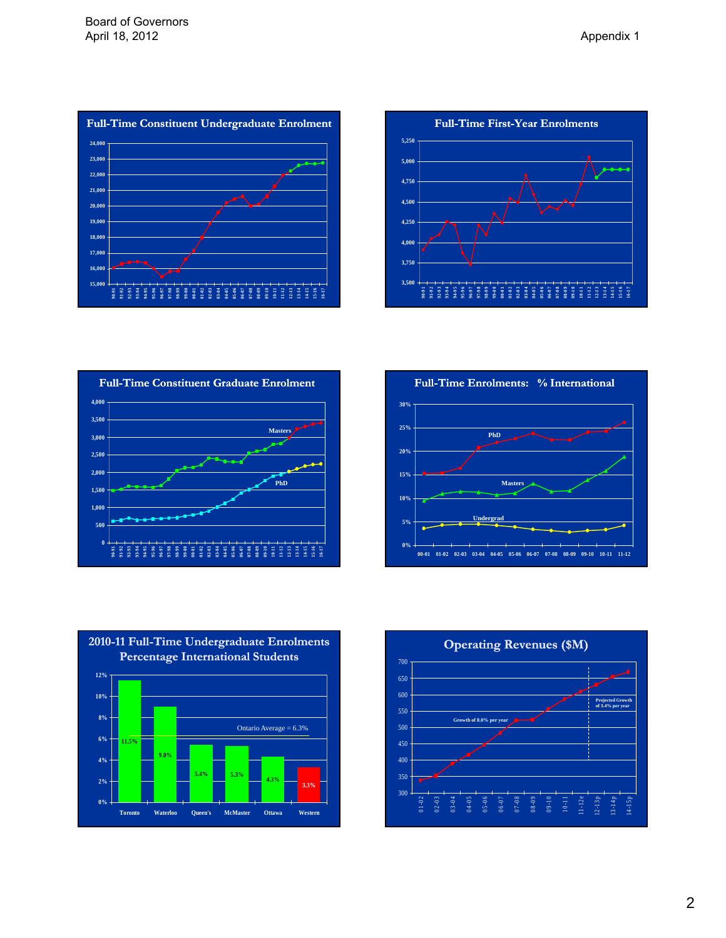











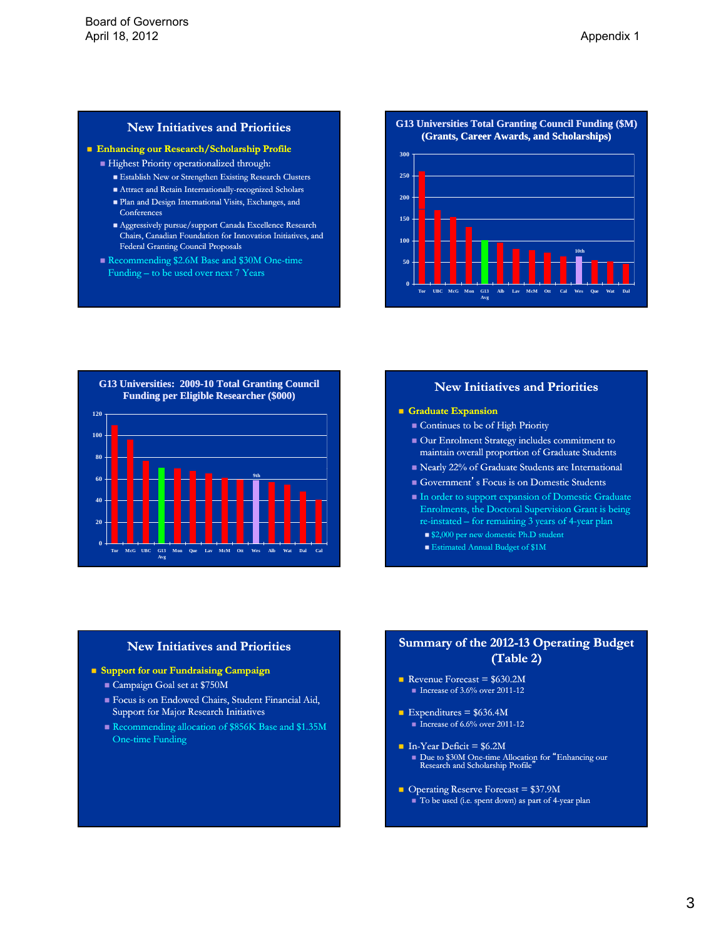### **New Initiatives and Priorities**

#### **Enhancing our Research/Scholarship Profile**

- Highest Priority operationalized through:
	- Establish New or Strengthen Existing Research Clusters
	- $\blacksquare$  <br> Attract and Retain Internationally-recognized Scholars
	- Plan and Design International Visits, Exchanges, and Conferences
	- $\blacksquare$  <br> Aggressively pursue/support Canada Excellence Research Chairs, Canadian Foundation for Innovation Initiatives, and Federal Granting Council Proposals
- Recommending \$2.6M Base and \$30M One-time Funding – to be used over next 7 Years

**G13 Universities Total Granting Council Funding (\$M) (Grants, Career Awards, and Scholarships)**





### **New Initiatives and Priorities**

#### **Graduate Expansion**

- Continues to be of High Priority
- Our Enrolment Strategy includes commitment to maintain overall proportion of Graduate Students
- Nearly 22% of Graduate Students are International
- Government's Focus is on Domestic Students
- In order to support expansion of Domestic Graduate Enrolments, the Doctoral Supervision Grant is being re-instated – for remaining 3 years of 4-year plan
	- \$2,000 per new domestic Ph.D student
	- **Estimated Annual Budget of \$1M**

#### **New Initiatives and Priorities**

- **Support for our Fundraising Campaign**
	- Campaign Goal set at \$750M
	- Focus is on Endowed Chairs, Student Financial Aid, Support for Major Research Initiatives
	- Recommending allocation of \$856K Base and \$1.35M One-time Funding

## **Summary of the 2012-13 Operating Budget (Table 2)(Table 2)**

- Revenue Forecast =  $$630.2M$  $\blacksquare$  Increase of 3.6% over 2011-12
- Expenditures =  $$636.4M$ Increase of  $6.6\%$  over 2011-12
- In-Year Deficit =  $$6.2M$ ■ Due to \$30M One-time Allocation for "Enhancing our Research and Scholarship Profile"
- Operating Reserve Forecast =  $$37.9M$  $\blacksquare$  To be used (i.e. spent down) as part of 4-year plan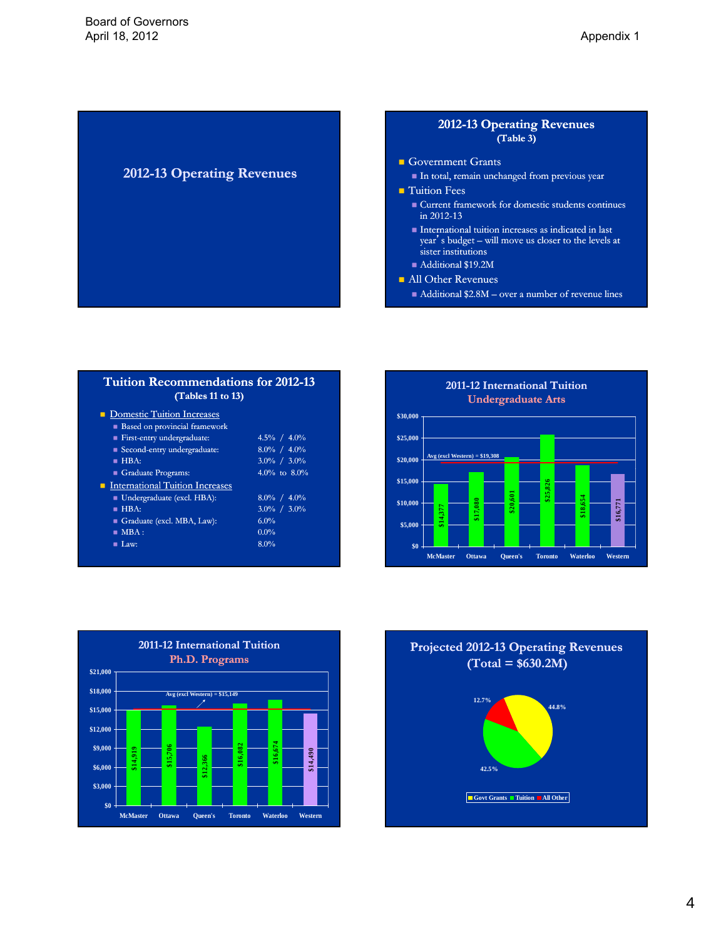## **2012-13 Operating Revenues**

## **2012-13 Operating Revenues 13 (Table 3)(Table 3)**

- Government Grants
	- In total, remain unchanged from previous year
- $\blacksquare$  Tuition Fees
	- **Current framework for domestic students continues** in  $2012 - 13$
	- $\blacksquare$  International tuition increases as indicated in last year's budget – will move us closer to the levels at sister institutions
	- Additional \$19.2M
- **All Other Revenues** 
	- Additional \$2.8M over a number of revenue lines

| <b>Tuition Recommendations for 2012-13</b><br>(Tables 11 to 13) |                 |
|-----------------------------------------------------------------|-----------------|
| • Domestic Tuition Increases                                    |                 |
| Based on provincial framework                                   |                 |
| First-entry undergraduate:                                      | $4.5\% / 4.0\%$ |
| ■ Second-entry undergraduate:                                   | $8.0\% / 4.0\%$ |
| HBA:                                                            | $3.0\% / 3.0\%$ |
| Graduate Programs:                                              | 4.0% to $8.0\%$ |
| <b>International Tuition Increases</b>                          |                 |
| ■ Undergraduate (excl. HBA):                                    | $8.0\% / 4.0\%$ |
| $HBA$ :                                                         | $3.0\% / 3.0\%$ |
| Graduate (excl. MBA, Law):                                      | 6.0%            |
| $\blacksquare$ MBA :                                            | $0.0\%$         |
| $\blacksquare$ Law:                                             | 8.0%            |





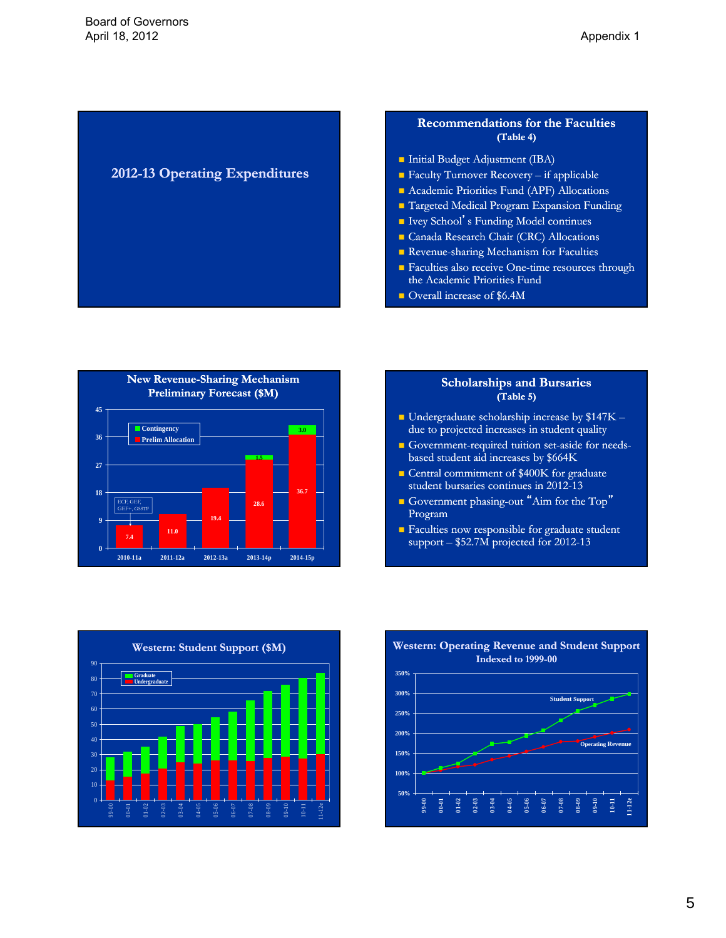# **2012-13 Operating Expenditures 13**

### **Recommendations for the Faculties (Table 4)(Table 4)**

- **Initial Budget Adjustment (IBA)**
- Faculty Turnover Recovery  $-$  if applicable
- **Academic Priorities Fund (APF) Allocations**
- Targeted Medical Program Expansion Funding
- $\blacksquare$  Ivey School's Funding Model continues
- Canada Research Chair (CRC) Allocations
- Revenue-sharing Mechanism for Faculties
- $\blacksquare$  Faculties also receive One-time resources through the Academic Priorities Fund
- Overall increase of \$6.4M



#### **Scholarships and Bursaries (Table 5)(Table 5)**

- Undergraduate scholarship increase by \$147K due to projected increases in student quality
- Government-required tuition set-aside for needsbased student aid increases by \$664K
- Central commitment of \$400K for graduate student bursaries continues in 2012-13
- Government phasing-out "Aim for the Top" Program
- **Faculties now responsible for graduate student** support  $-$  \$52.7M projected for 2012-13



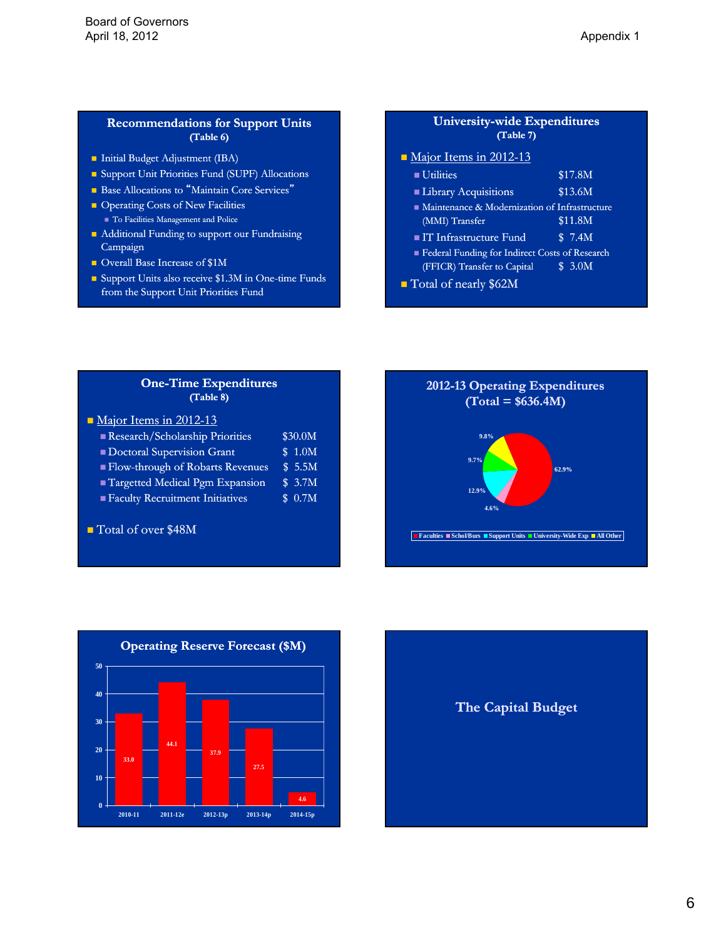### **Recommendations for Support Units (Table 6)(Table 6)**

- **Initial Budget Adjustment (IBA)**
- Support Unit Priorities Fund (SUPF) Allocations
- **Base Allocations to "Maintain Core Services"**
- Operating Costs of New Facilities To Facilities Management and Police
- Additional Funding to support our Fundraising Campaign
- Overall Base Increase of \$1M
- Support Units also receive  $$1.3M$  in One-time Funds from the Support Unit Priorities Fund

### **University-wide Expenditures (Table 7)(Table 7)**

Major Items in 2012-13

| <b>Utilities</b>                                  | \$17.8M |  |
|---------------------------------------------------|---------|--|
| <b>Library Acquisitions</b>                       | \$13.6M |  |
| • Maintenance & Modernization of Infrastructure   |         |  |
| (MMI) Transfer                                    | \$11.8M |  |
| ■ IT Infrastructure Fund                          | \$7.4M  |  |
| Electrical Funding for Indirect Costs of Research |         |  |
| (FFICR) Transfer to Capital                       | \$3.0M  |  |
| Total of nearly \$62M                             |         |  |

**One-Time Expenditures (Table 8)(Table 8)**

| Major Items in 2012-13<br>Research/Scholarship Priorities | \$30.0M              |
|-----------------------------------------------------------|----------------------|
| Doctoral Supervision Grant                                | 1.0M<br>\$           |
| ■ Flow-through of Robarts Revenues                        | \$5.5M               |
| Targetted Medical Pgm Expansion                           | $\overline{\$}$ 3.7M |
| <b>Example Faculty Recruitment Initiatives</b>            | \$0.7M               |
|                                                           |                      |
| Total of over \$48M                                       |                      |